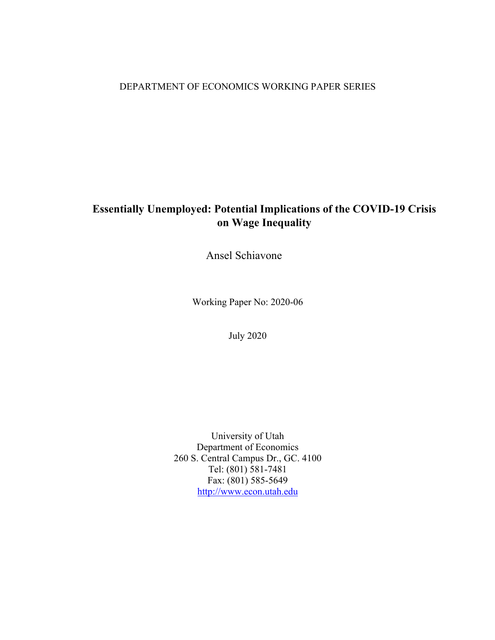### DEPARTMENT OF ECONOMICS WORKING PAPER SERIES

## **Essentially Unemployed: Potential Implications of the COVID-19 Crisis on Wage Inequality**

Ansel Schiavone

Working Paper No: 2020-06

July 2020

University of Utah Department of Economics 260 S. Central Campus Dr., GC. 4100 Tel: (801) 581-7481 Fax: (801) 585-5649 http://www.econ.utah.edu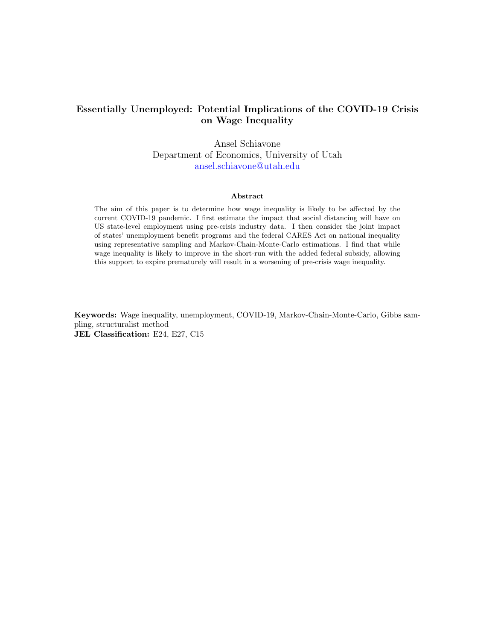### Essentially Unemployed: Potential Implications of the COVID-19 Crisis on Wage Inequality

Ansel Schiavone Department of Economics, University of Utah [ansel.schiavone@utah.edu](mailto:ansel.schiavone@utah.edu)

#### Abstract

The aim of this paper is to determine how wage inequality is likely to be affected by the current COVID-19 pandemic. I first estimate the impact that social distancing will have on US state-level employment using pre-crisis industry data. I then consider the joint impact of states' unemployment benefit programs and the federal CARES Act on national inequality using representative sampling and Markov-Chain-Monte-Carlo estimations. I find that while wage inequality is likely to improve in the short-run with the added federal subsidy, allowing this support to expire prematurely will result in a worsening of pre-crisis wage inequality.

Keywords: Wage inequality, unemployment, COVID-19, Markov-Chain-Monte-Carlo, Gibbs sampling, structuralist method JEL Classification: E24, E27, C15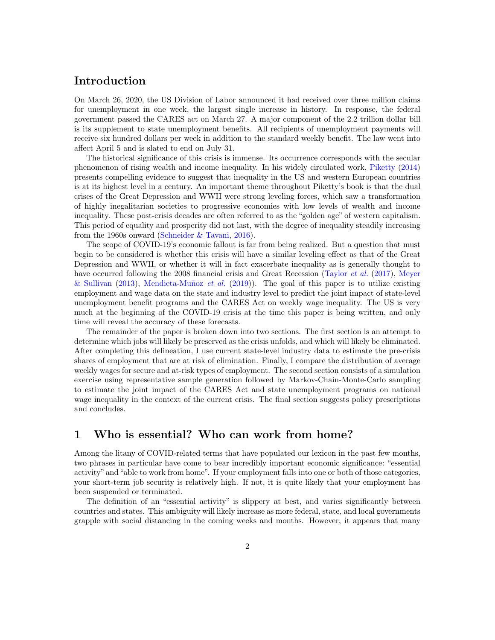## Introduction

On March 26, 2020, the US Division of Labor announced it had received over three million claims for unemployment in one week, the largest single increase in history. In response, the federal government passed the CARES act on March 27. A major component of the 2.2 trillion dollar bill is its supplement to state unemployment benefits. All recipients of unemployment payments will receive six hundred dollars per week in addition to the standard weekly benefit. The law went into affect April 5 and is slated to end on July 31.

The historical significance of this crisis is immense. Its occurrence corresponds with the secular phenomenon of rising wealth and income inequality. In his widely circulated work, [Piketty](#page-9-0) [\(2014\)](#page-9-0) presents compelling evidence to suggest that inequality in the US and western European countries is at its highest level in a century. An important theme throughout Piketty's book is that the dual crises of the Great Depression and WWII were strong leveling forces, which saw a transformation of highly inegalitarian societies to progressive economies with low levels of wealth and income inequality. These post-crisis decades are often referred to as the "golden age" of western capitalism. This period of equality and prosperity did not last, with the degree of inequality steadily increasing from the 1960s onward [\(Schneider & Tavani,](#page-9-1) [2016\)](#page-9-1).

The scope of COVID-19's economic fallout is far from being realized. But a question that must begin to be considered is whether this crisis will have a similar leveling effect as that of the Great Depression and WWII, or whether it will in fact exacerbate inequality as is generally thought to have occurred following the 2008 financial crisis and Great Recession [\(Taylor](#page-9-2) *et al.* [\(2017\)](#page-9-2), [Meyer](#page-9-3) [& Sullivan](#page-9-3) [\(2013\)](#page-9-3), Mendieta-Muñoz et al. [\(2019\)](#page-9-4)). The goal of this paper is to utilize existing employment and wage data on the state and industry level to predict the joint impact of state-level unemployment benefit programs and the CARES Act on weekly wage inequality. The US is very much at the beginning of the COVID-19 crisis at the time this paper is being written, and only time will reveal the accuracy of these forecasts.

The remainder of the paper is broken down into two sections. The first section is an attempt to determine which jobs will likely be preserved as the crisis unfolds, and which will likely be eliminated. After completing this delineation, I use current state-level industry data to estimate the pre-crisis shares of employment that are at risk of elimination. Finally, I compare the distribution of average weekly wages for secure and at-risk types of employment. The second section consists of a simulation exercise using representative sample generation followed by Markov-Chain-Monte-Carlo sampling to estimate the joint impact of the CARES Act and state unemployment programs on national wage inequality in the context of the current crisis. The final section suggests policy prescriptions and concludes.

### 1 Who is essential? Who can work from home?

Among the litany of COVID-related terms that have populated our lexicon in the past few months, two phrases in particular have come to bear incredibly important economic significance: "essential activity" and "able to work from home". If your employment falls into one or both of those categories, your short-term job security is relatively high. If not, it is quite likely that your employment has been suspended or terminated.

The definition of an "essential activity" is slippery at best, and varies significantly between countries and states. This ambiguity will likely increase as more federal, state, and local governments grapple with social distancing in the coming weeks and months. However, it appears that many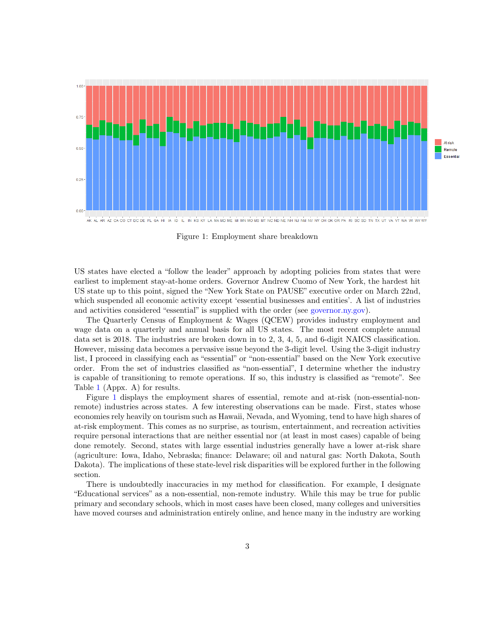<span id="page-3-0"></span>

AK AL AR AZ CA CO CT DC DE FL GA HI IA ID IL IN KS KY LA MA MD ME MI MN MOMS MT NC ND NE NH NJ NM NV NY OH OK OR PA RISC SD TN TX UT VA VT WA WIWV WY

#### Figure 1: Employment share breakdown

US states have elected a "follow the leader" approach by adopting policies from states that were earliest to implement stay-at-home orders. Governor Andrew Cuomo of New York, the hardest hit US state up to this point, signed the "New York State on PAUSE" executive order on March 22nd, which suspended all economic activity except 'essential businesses and entities'. A list of industries and activities considered "essential" is supplied with the order (see [governor.ny.gov\)](https://www.governor.ny.gov/news/governor-cuomo-issues-guidance-essential-services-under-new-york-state-pause-executive-order).

The Quarterly Census of Employment & Wages (QCEW) provides industry employment and wage data on a quarterly and annual basis for all US states. The most recent complete annual data set is 2018. The industries are broken down in to 2, 3, 4, 5, and 6-digit NAICS classification. However, missing data becomes a pervasive issue beyond the 3-digit level. Using the 3-digit industry list, I proceed in classifying each as "essential" or "non-essential" based on the New York executive order. From the set of industries classified as "non-essential", I determine whether the industry is capable of transitioning to remote operations. If so, this industry is classified as "remote". See Table [1](#page-10-0) (Appx. A) for results.

Figure [1](#page-3-0) displays the employment shares of essential, remote and at-risk (non-essential-nonremote) industries across states. A few interesting observations can be made. First, states whose economies rely heavily on tourism such as Hawaii, Nevada, and Wyoming, tend to have high shares of at-risk employment. This comes as no surprise, as tourism, entertainment, and recreation activities require personal interactions that are neither essential nor (at least in most cases) capable of being done remotely. Second, states with large essential industries generally have a lower at-risk share (agriculture: Iowa, Idaho, Nebraska; finance: Delaware; oil and natural gas: North Dakota, South Dakota). The implications of these state-level risk disparities will be explored further in the following section.

There is undoubtedly inaccuracies in my method for classification. For example, I designate "Educational services" as a non-essential, non-remote industry. While this may be true for public primary and secondary schools, which in most cases have been closed, many colleges and universities have moved courses and administration entirely online, and hence many in the industry are working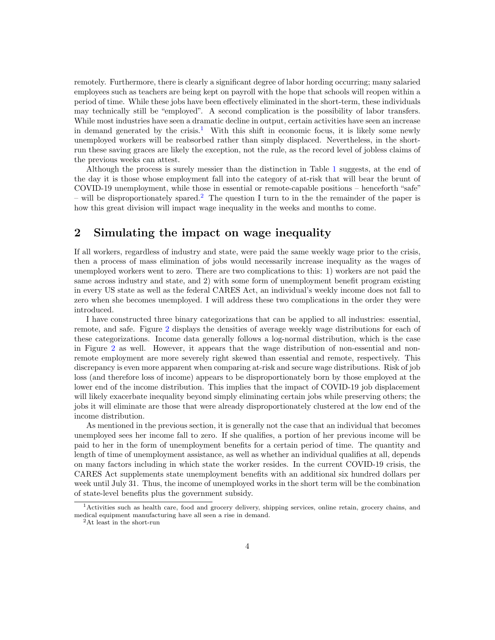remotely. Furthermore, there is clearly a significant degree of labor hording occurring; many salaried employees such as teachers are being kept on payroll with the hope that schools will reopen within a period of time. While these jobs have been effectively eliminated in the short-term, these individuals may technically still be "employed". A second complication is the possibility of labor transfers. While most industries have seen a dramatic decline in output, certain activities have seen an increase in demand generated by the crisis.<sup>[1](#page-4-0)</sup> With this shift in economic focus, it is likely some newly unemployed workers will be reabsorbed rather than simply displaced. Nevertheless, in the shortrun these saving graces are likely the exception, not the rule, as the record level of jobless claims of the previous weeks can attest.

Although the process is surely messier than the distinction in Table [1](#page-10-0) suggests, at the end of the day it is those whose employment fall into the category of at-risk that will bear the brunt of COVID-19 unemployment, while those in essential or remote-capable positions – henceforth "safe" – will be disproportionately spared.<sup>[2](#page-4-1)</sup> The question I turn to in the the remainder of the paper is how this great division will impact wage inequality in the weeks and months to come.

### 2 Simulating the impact on wage inequality

If all workers, regardless of industry and state, were paid the same weekly wage prior to the crisis, then a process of mass elimination of jobs would necessarily increase inequality as the wages of unemployed workers went to zero. There are two complications to this: 1) workers are not paid the same across industry and state, and 2) with some form of unemployment benefit program existing in every US state as well as the federal CARES Act, an individual's weekly income does not fall to zero when she becomes unemployed. I will address these two complications in the order they were introduced.

I have constructed three binary categorizations that can be applied to all industries: essential, remote, and safe. Figure [2](#page-5-0) displays the densities of average weekly wage distributions for each of these categorizations. Income data generally follows a log-normal distribution, which is the case in Figure [2](#page-5-0) as well. However, it appears that the wage distribution of non-essential and nonremote employment are more severely right skewed than essential and remote, respectively. This discrepancy is even more apparent when comparing at-risk and secure wage distributions. Risk of job loss (and therefore loss of income) appears to be disproportionately born by those employed at the lower end of the income distribution. This implies that the impact of COVID-19 job displacement will likely exacerbate inequality beyond simply eliminating certain jobs while preserving others; the jobs it will eliminate are those that were already disproportionately clustered at the low end of the income distribution.

As mentioned in the previous section, it is generally not the case that an individual that becomes unemployed sees her income fall to zero. If she qualifies, a portion of her previous income will be paid to her in the form of unemployment benefits for a certain period of time. The quantity and length of time of unemployment assistance, as well as whether an individual qualifies at all, depends on many factors including in which state the worker resides. In the current COVID-19 crisis, the CARES Act supplements state unemployment benefits with an additional six hundred dollars per week until July 31. Thus, the income of unemployed works in the short term will be the combination of state-level benefits plus the government subsidy.

<span id="page-4-0"></span><sup>1</sup>Activities such as health care, food and grocery delivery, shipping services, online retain, grocery chains, and medical equipment manufacturing have all seen a rise in demand.

<span id="page-4-1"></span><sup>2</sup>At least in the short-run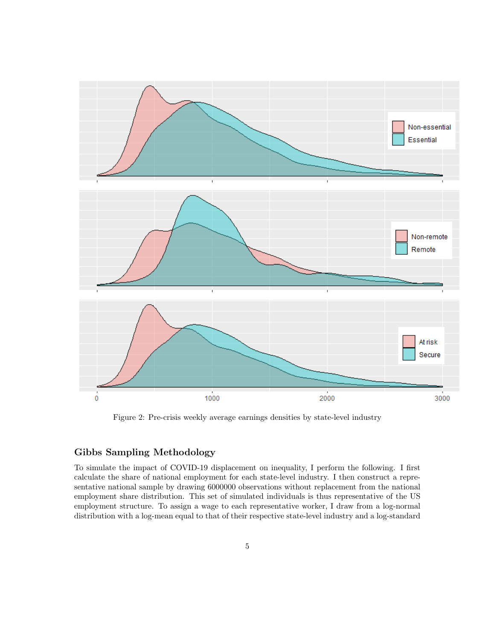<span id="page-5-0"></span>

Figure 2: Pre-crisis weekly average earnings densities by state-level industry

#### Gibbs Sampling Methodology

To simulate the impact of COVID-19 displacement on inequality, I perform the following. I first calculate the share of national employment for each state-level industry. I then construct a representative national sample by drawing 6000000 observations without replacement from the national employment share distribution. This set of simulated individuals is thus representative of the US employment structure. To assign a wage to each representative worker, I draw from a log-normal distribution with a log-mean equal to that of their respective state-level industry and a log-standard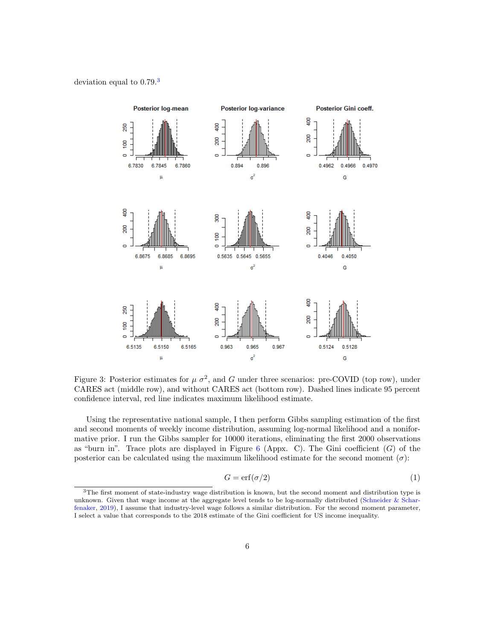#### <span id="page-6-1"></span>deviation equal to  $0.79<sup>3</sup>$  $0.79<sup>3</sup>$  $0.79<sup>3</sup>$



Figure 3: Posterior estimates for  $\mu \sigma^2$ , and G under three scenarios: pre-COVID (top row), under CARES act (middle row), and without CARES act (bottom row). Dashed lines indicate 95 percent confidence interval, red line indicates maximum likelihood estimate.

Using the representative national sample, I then perform Gibbs sampling estimation of the first and second moments of weekly income distribution, assuming log-normal likelihood and a noniformative prior. I run the Gibbs sampler for 10000 iterations, eliminating the first 2000 observations as "burn in". Trace plots are displayed in Figure  $6$  (Appx. C). The Gini coefficient (G) of the posterior can be calculated using the maximum likelihood estimate for the second moment  $(\sigma)$ :

$$
G = \text{erf}(\sigma/2) \tag{1}
$$

<span id="page-6-0"></span><sup>&</sup>lt;sup>3</sup>The first moment of state-industry wage distribution is known, but the second moment and distribution type is unknown. Given that wage income at the aggregate level tends to be log-normally distributed [\(Schneider & Schar](#page-9-5)[fenaker,](#page-9-5) [2019\)](#page-9-5), I assume that industry-level wage follows a similar distribution. For the second moment parameter, I select a value that corresponds to the 2018 estimate of the Gini coefficient for US income inequality.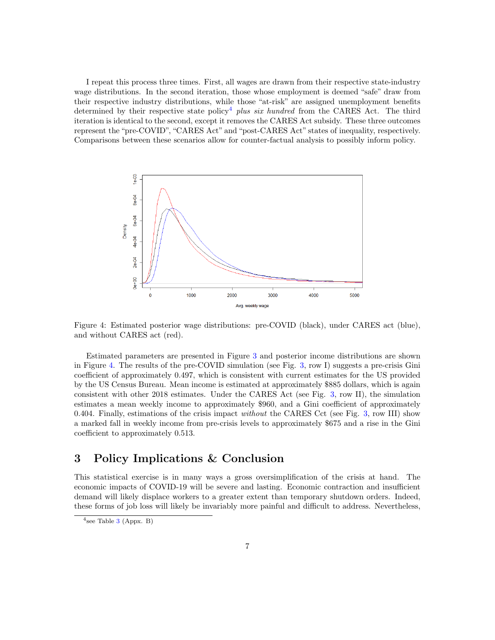I repeat this process three times. First, all wages are drawn from their respective state-industry wage distributions. In the second iteration, those whose employment is deemed "safe" draw from their respective industry distributions, while those "at-risk" are assigned unemployment benefits determined by their respective state policy<sup>[4](#page-7-0)</sup> plus six hundred from the CARES Act. The third iteration is identical to the second, except it removes the CARES Act subsidy. These three outcomes represent the "pre-COVID", "CARES Act" and "post-CARES Act" states of inequality, respectively. Comparisons between these scenarios allow for counter-factual analysis to possibly inform policy.

<span id="page-7-1"></span>

Figure 4: Estimated posterior wage distributions: pre-COVID (black), under CARES act (blue), and without CARES act (red).

Estimated parameters are presented in Figure [3](#page-6-1) and posterior income distributions are shown in Figure [4.](#page-7-1) The results of the pre-COVID simulation (see Fig. [3,](#page-6-1) row I) suggests a pre-crisis Gini coefficient of approximately 0.497, which is consistent with current estimates for the US provided by the US Census Bureau. Mean income is estimated at approximately \$885 dollars, which is again consistent with other 2018 estimates. Under the CARES Act (see Fig. [3,](#page-6-1) row II), the simulation estimates a mean weekly income to approximately \$960, and a Gini coefficient of approximately 0.404. Finally, estimations of the crisis impact without the CARES Cct (see Fig. [3,](#page-6-1) row III) show a marked fall in weekly income from pre-crisis levels to approximately \$675 and a rise in the Gini coefficient to approximately 0.513.

### 3 Policy Implications & Conclusion

This statistical exercise is in many ways a gross oversimplification of the crisis at hand. The economic impacts of COVID-19 will be severe and lasting. Economic contraction and insufficient demand will likely displace workers to a greater extent than temporary shutdown orders. Indeed, these forms of job loss will likely be invariably more painful and difficult to address. Nevertheless,

<span id="page-7-0"></span> $4$ see Table [3](#page-13-0) (Appx. B)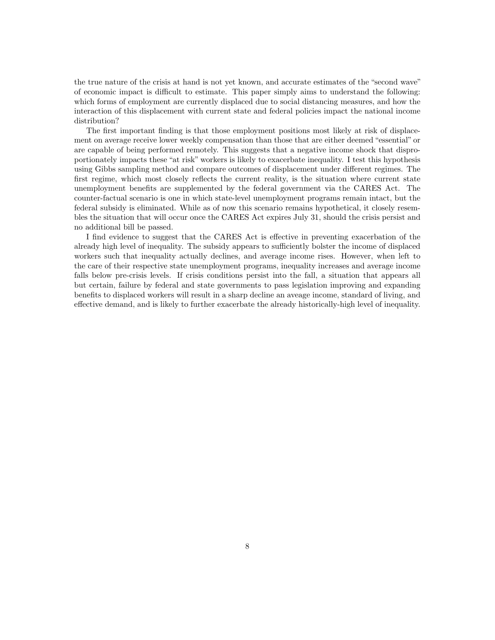the true nature of the crisis at hand is not yet known, and accurate estimates of the "second wave" of economic impact is difficult to estimate. This paper simply aims to understand the following: which forms of employment are currently displaced due to social distancing measures, and how the interaction of this displacement with current state and federal policies impact the national income distribution?

The first important finding is that those employment positions most likely at risk of displacement on average receive lower weekly compensation than those that are either deemed "essential" or are capable of being performed remotely. This suggests that a negative income shock that disproportionately impacts these "at risk" workers is likely to exacerbate inequality. I test this hypothesis using Gibbs sampling method and compare outcomes of displacement under different regimes. The first regime, which most closely reflects the current reality, is the situation where current state unemployment benefits are supplemented by the federal government via the CARES Act. The counter-factual scenario is one in which state-level unemployment programs remain intact, but the federal subsidy is eliminated. While as of now this scenario remains hypothetical, it closely resembles the situation that will occur once the CARES Act expires July 31, should the crisis persist and no additional bill be passed.

I find evidence to suggest that the CARES Act is effective in preventing exacerbation of the already high level of inequality. The subsidy appears to sufficiently bolster the income of displaced workers such that inequality actually declines, and average income rises. However, when left to the care of their respective state unemployment programs, inequality increases and average income falls below pre-crisis levels. If crisis conditions persist into the fall, a situation that appears all but certain, failure by federal and state governments to pass legislation improving and expanding benefits to displaced workers will result in a sharp decline an aveage income, standard of living, and effective demand, and is likely to further exacerbate the already historically-high level of inequality.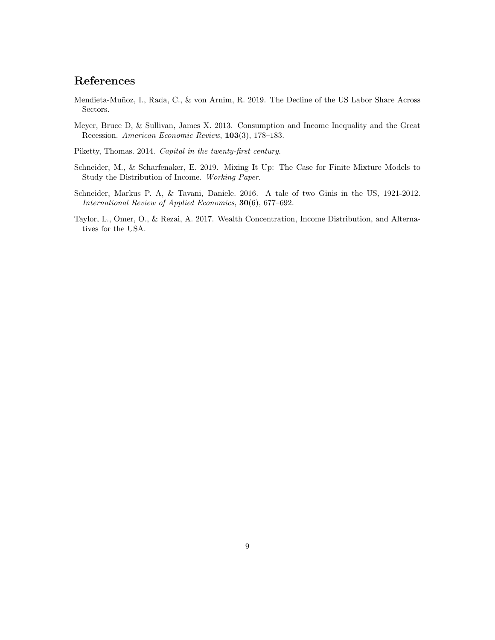## References

- <span id="page-9-4"></span>Mendieta-Muñoz, I., Rada, C., & von Arnim, R. 2019. The Decline of the US Labor Share Across Sectors.
- <span id="page-9-3"></span>Meyer, Bruce D, & Sullivan, James X. 2013. Consumption and Income Inequality and the Great Recession. American Economic Review, 103(3), 178–183.

<span id="page-9-0"></span>Piketty, Thomas. 2014. Capital in the twenty-first century.

- <span id="page-9-5"></span>Schneider, M., & Scharfenaker, E. 2019. Mixing It Up: The Case for Finite Mixture Models to Study the Distribution of Income. Working Paper.
- <span id="page-9-1"></span>Schneider, Markus P. A, & Tavani, Daniele. 2016. A tale of two Ginis in the US, 1921-2012. International Review of Applied Economics, 30(6), 677–692.
- <span id="page-9-2"></span>Taylor, L., Omer, O., & Rezai, A. 2017. Wealth Concentration, Income Distribution, and Alternatives for the USA.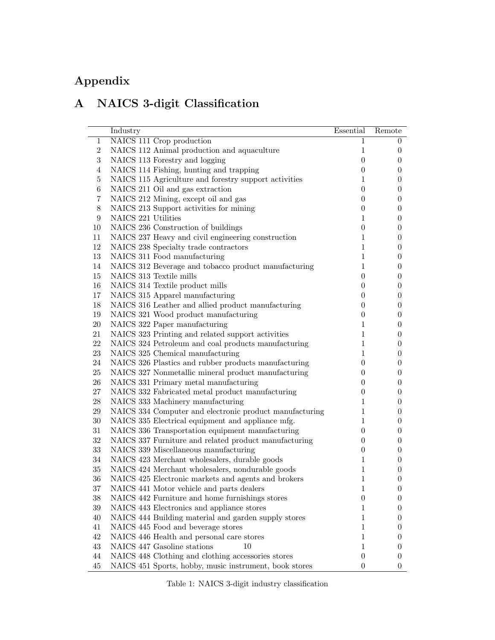# Appendix

## A NAICS 3-digit Classification

<span id="page-10-0"></span>

|                  | Industry                                                | Essential        | Remote           |
|------------------|---------------------------------------------------------|------------------|------------------|
| $\mathbf{1}$     | NAICS 111 Crop production                               | 1                | 0                |
| $\,2$            | NAICS 112 Animal production and aquaculture             | $\mathbf{1}$     | $\overline{0}$   |
| $\boldsymbol{3}$ | NAICS 113 Forestry and logging                          | $\boldsymbol{0}$ | $\theta$         |
| $\overline{4}$   | NAICS 114 Fishing, hunting and trapping                 | $\boldsymbol{0}$ | $\boldsymbol{0}$ |
| $\bf 5$          | NAICS 115 Agriculture and forestry support activities   | $\mathbf{1}$     | $\boldsymbol{0}$ |
| $\,6$            | NAICS 211 Oil and gas extraction                        | $\boldsymbol{0}$ | $\boldsymbol{0}$ |
| $\bf 7$          | NAICS 212 Mining, except oil and gas                    | $\boldsymbol{0}$ | $\boldsymbol{0}$ |
| $8\,$            | NAICS 213 Support activities for mining                 | $\boldsymbol{0}$ | $\boldsymbol{0}$ |
| $\boldsymbol{9}$ | NAICS 221 Utilities                                     | $\mathbf{1}$     | $\theta$         |
| 10               | NAICS 236 Construction of buildings                     | $\boldsymbol{0}$ | $\theta$         |
| 11               | NAICS 237 Heavy and civil engineering construction      | $\mathbf{1}$     | $\overline{0}$   |
| 12               | NAICS 238 Specialty trade contractors                   | $\mathbf{1}$     | $\theta$         |
| 13               | NAICS 311 Food manufacturing                            | $\mathbf{1}$     | $\theta$         |
| 14               | NAICS 312 Beverage and tobacco product manufacturing    | $\mathbf{1}$     | $\overline{0}$   |
| 15               | NAICS 313 Textile mills                                 | $\boldsymbol{0}$ | $\theta$         |
| 16               | NAICS 314 Textile product mills                         | $\boldsymbol{0}$ | $\theta$         |
| 17               | NAICS 315 Apparel manufacturing                         | $\boldsymbol{0}$ | $\theta$         |
| 18               | NAICS 316 Leather and allied product manufacturing      | $\boldsymbol{0}$ | $\theta$         |
| $19\,$           | NAICS 321 Wood product manufacturing                    | $\boldsymbol{0}$ | $\theta$         |
| $20\,$           | NAICS 322 Paper manufacturing                           | $\mathbf{1}$     | $\theta$         |
| 21               | NAICS 323 Printing and related support activities       | $\mathbf{1}$     | $\theta$         |
| 22               | NAICS 324 Petroleum and coal products manufacturing     | $\mathbf{1}$     | $\theta$         |
| $23\,$           | NAICS 325 Chemical manufacturing                        | $\mathbf{1}$     | $\theta$         |
| 24               | NAICS 326 Plastics and rubber products manufacturing    | $\boldsymbol{0}$ | $\theta$         |
| $25\,$           | NAICS 327 Nonmetallic mineral product manufacturing     | $\boldsymbol{0}$ | $\theta$         |
| 26               | NAICS 331 Primary metal manufacturing                   | $\boldsymbol{0}$ | $\theta$         |
| $27\,$           | NAICS 332 Fabricated metal product manufacturing        | $\boldsymbol{0}$ | $\boldsymbol{0}$ |
| $28\,$           | NAICS 333 Machinery manufacturing                       | $\mathbf{1}$     | $\theta$         |
| $29\,$           | NAICS 334 Computer and electronic product manufacturing | 1                | $\theta$         |
| $30\,$           | NAICS 335 Electrical equipment and appliance mfg.       | $\mathbf{1}$     | $\theta$         |
| $31\,$           | NAICS 336 Transportation equipment manufacturing        | $\boldsymbol{0}$ | $\theta$         |
| $32\,$           | NAICS 337 Furniture and related product manufacturing   | $\boldsymbol{0}$ | $\theta$         |
| $33\,$           | NAICS 339 Miscellaneous manufacturing                   | $\boldsymbol{0}$ | $\theta$         |
| 34               | NAICS 423 Merchant wholesalers, durable goods           | $\mathbf{1}$     | $\theta$         |
| $35\,$           | NAICS 424 Merchant wholesalers, nondurable goods        | $\mathbf 1$      | $\theta$         |
| $36\,$           | NAICS 425 Electronic markets and agents and brokers     | $\mathbf{1}$     | $\theta$         |
| 37               | NAICS 441 Motor vehicle and parts dealers               | 1                | $\overline{0}$   |
| $38\,$           | NAICS 442 Furniture and home furnishings stores         | $\overline{0}$   | 0                |
| 39               | NAICS 443 Electronics and appliance stores              | 1                | 0                |
| 40               | NAICS 444 Building material and garden supply stores    | 1                | 0                |
| 41               | NAICS 445 Food and beverage stores                      | 1                | 0                |
| 42               | NAICS 446 Health and personal care stores               | 1                | 0                |
| 43               | NAICS 447 Gasoline stations<br>10                       | 1                | 0                |
| 44               | NAICS 448 Clothing and clothing accessories stores      | $\boldsymbol{0}$ | 0                |
| 45               | NAICS 451 Sports, hobby, music instrument, book stores  | $\theta$         | $\overline{0}$   |

Table 1: NAICS 3-digit industry classification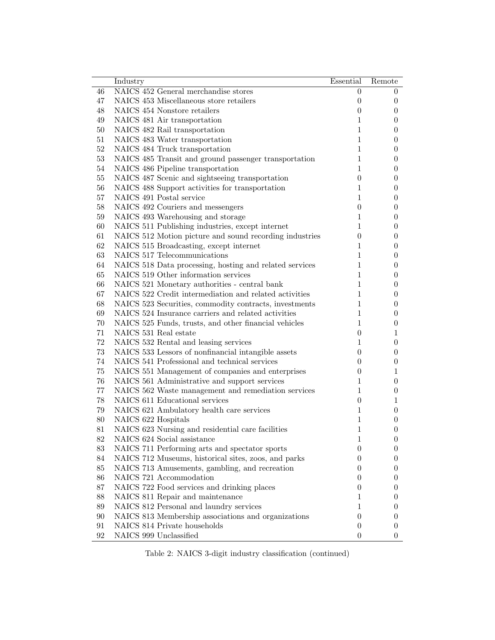|        | Industry                                                | Essential        | Remote           |
|--------|---------------------------------------------------------|------------------|------------------|
| 46     | NAICS 452 General merchandise stores                    | $\theta$         | $\theta$         |
| 47     | NAICS 453 Miscellaneous store retailers                 | $\boldsymbol{0}$ | $\overline{0}$   |
| 48     | NAICS 454 Nonstore retailers                            | $\boldsymbol{0}$ | 0                |
| 49     | NAICS 481 Air transportation                            | 1                | 0                |
| $50\,$ | NAICS 482 Rail transportation                           | $\mathbf{1}$     | 0                |
| 51     | NAICS 483 Water transportation                          | $\mathbf{1}$     | 0                |
| $52\,$ | NAICS 484 Truck transportation                          | $\mathbf{1}$     | 0                |
| 53     | NAICS 485 Transit and ground passenger transportation   | $\mathbf{1}$     | 0                |
| $54\,$ | NAICS 486 Pipeline transportation                       | $\mathbf{1}$     | 0                |
| $55\,$ | NAICS 487 Scenic and sightseeing transportation         | $\boldsymbol{0}$ | 0                |
| 56     | NAICS 488 Support activities for transportation         | $\mathbf{1}$     | 0                |
| 57     | NAICS 491 Postal service                                | $\mathbf{1}$     | 0                |
| $58\,$ | NAICS 492 Couriers and messengers                       | $\boldsymbol{0}$ | 0                |
| $59\,$ | NAICS 493 Warehousing and storage                       | 1                | 0                |
| 60     | NAICS 511 Publishing industries, except internet        | 1                | 0                |
| 61     | NAICS 512 Motion picture and sound recording industries | $\boldsymbol{0}$ | 0                |
| 62     | NAICS 515 Broadcasting, except internet                 | 1                | 0                |
| 63     | NAICS 517 Telecommunications                            | $\mathbf{1}$     | 0                |
| 64     | NAICS 518 Data processing, hosting and related services | 1                | 0                |
| 65     | NAICS 519 Other information services                    | $\mathbf{1}$     | 0                |
| 66     | NAICS 521 Monetary authorities - central bank           | $\mathbf{1}$     | 0                |
| 67     | NAICS 522 Credit intermediation and related activities  | $\mathbf{1}$     | 0                |
| 68     | NAICS 523 Securities, commodity contracts, investments  | 1                | 0                |
| 69     | NAICS 524 Insurance carriers and related activities     | $\mathbf{1}$     | 0                |
| $70\,$ | NAICS 525 Funds, trusts, and other financial vehicles   | $\mathbf{1}$     | 0                |
| 71     | NAICS 531 Real estate                                   | $\boldsymbol{0}$ | 1                |
| 72     | NAICS 532 Rental and leasing services                   | 1                | $\overline{0}$   |
| 73     | NAICS 533 Lessors of nonfinancial intangible assets     | $\theta$         | 0                |
| 74     | NAICS 541 Professional and technical services           | $\overline{0}$   | 0                |
| 75     | NAICS 551 Management of companies and enterprises       | $\theta$         | 1                |
| $76\,$ | NAICS 561 Administrative and support services           | 1                | 0                |
| $77\,$ | NAICS 562 Waste management and remediation services     | $\mathbf{1}$     | 0                |
| 78     | NAICS 611 Educational services                          | $\boldsymbol{0}$ | 1                |
| 79     | NAICS 621 Ambulatory health care services               | $\mathbf{1}$     | 0                |
| $80\,$ | NAICS 622 Hospitals                                     | 1                | 0                |
| 81     | NAICS 623 Nursing and residential care facilities       | $\mathbf{1}$     | $\theta$         |
| $82\,$ | NAICS 624 Social assistance                             | 1                | $\boldsymbol{0}$ |
| 83     | NAICS 711 Performing arts and spectator sports          | $\overline{0}$   | 0                |
| 84     | NAICS 712 Museums, historical sites, zoos, and parks    | $\overline{0}$   | 0                |
| 85     | NAICS 713 Amusements, gambling, and recreation          | $\overline{0}$   | 0                |
| 86     | NAICS 721 Accommodation                                 | $\theta$         | 0                |
| 87     | NAICS 722 Food services and drinking places             | $\overline{0}$   | 0                |
| 88     | NAICS 811 Repair and maintenance                        | 1                | 0                |
| 89     | NAICS 812 Personal and laundry services                 | $\mathbf{1}$     | 0                |
| $90\,$ | NAICS 813 Membership associations and organizations     | $\boldsymbol{0}$ | 0                |
| 91     | NAICS 814 Private households                            | $\boldsymbol{0}$ | $\overline{0}$   |
| 92     | NAICS 999 Unclassified                                  | $\boldsymbol{0}$ | $\theta$         |

Table 2: NAICS 3-digit industry classification (continued)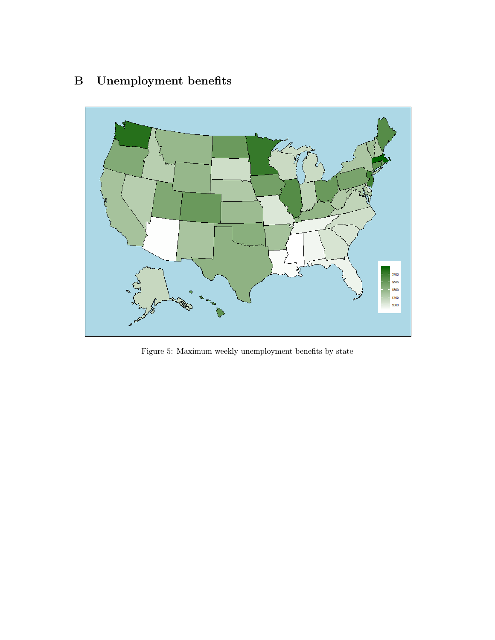# B Unemployment benefits



Figure 5: Maximum weekly unemployment benefits by state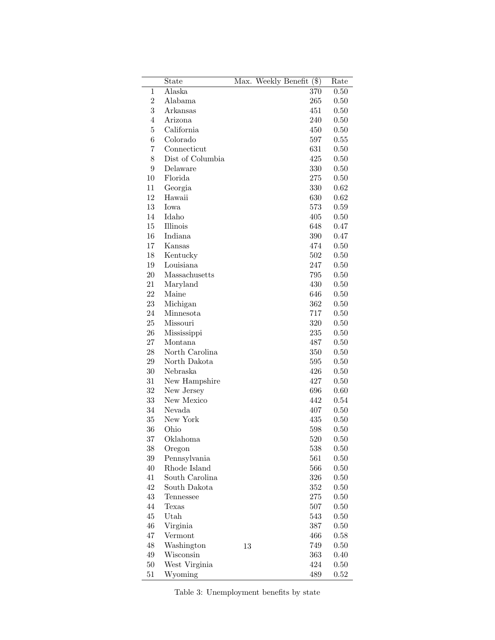<span id="page-13-0"></span>

|                | State            |    | Max. Weekly Benefit | $(\$\)$ | Rate     |
|----------------|------------------|----|---------------------|---------|----------|
| 1              | Alaska           |    |                     | 370     | 0.50     |
| $\overline{2}$ | Alabama          |    |                     | 265     | 0.50     |
| 3              | Arkansas         |    |                     | 451     | 0.50     |
| 4              | Arizona          |    |                     | 240     | 0.50     |
| 5              | California       |    |                     | 450     | 0.50     |
| 6              | Colorado         |    |                     | 597     | 0.55     |
| 7              | Connecticut      |    |                     | 631     | 0.50     |
| 8              | Dist of Columbia |    |                     | 425     | 0.50     |
| 9              | Delaware         |    |                     | 330     | 0.50     |
| 10             | Florida          |    |                     | 275     | 0.50     |
| 11             | Georgia          |    |                     | 330     | 0.62     |
| 12             | Hawaii           |    |                     | 630     | 0.62     |
| 13             | Iowa             |    |                     | 573     | 0.59     |
| 14             | Idaho            |    |                     | 405     | 0.50     |
| 15             | Illinois         |    |                     | 648     | 0.47     |
| 16             | Indiana          |    |                     | 390     | 0.47     |
| 17             | Kansas           |    |                     | 474     | 0.50     |
| 18             | Kentucky         |    |                     | 502     | 0.50     |
| 19             | Louisiana        |    |                     | 247     | 0.50     |
| 20             | Massachusetts    |    |                     | 795     | 0.50     |
| 21             | Maryland         |    |                     | 430     | 0.50     |
| 22             | Maine            |    |                     | 646     | 0.50     |
| 23             | Michigan         |    |                     | 362     | 0.50     |
| 24             | Minnesota        |    |                     | 717     | 0.50     |
| 25             | Missouri         |    |                     | 320     | 0.50     |
| 26             | Mississippi      |    |                     | 235     | 0.50     |
| 27             | Montana          |    |                     | 487     | 0.50     |
| 28             | North Carolina   |    |                     | 350     | 0.50     |
| 29             | North Dakota     |    |                     | 595     | 0.50     |
| 30             | Nebraska         |    |                     | 426     | 0.50     |
| 31             | New Hampshire    |    |                     | 427     | 0.50     |
| 32             | New Jersey       |    |                     | 696     | 0.60     |
| 33             | New Mexico       |    |                     | 442     | 0.54     |
| 34             | Nevada           |    |                     | 407     | 0.50     |
| 35             | New York         |    |                     | 435     | 0.50     |
| 36             | Ohio             |    |                     | 598     | 0.50     |
| 37             | Oklahoma         |    |                     | 520     | 0.50     |
| $38\,$         | Oregon           |    |                     | 538     | 0.50     |
| $39\,$         | Pennsylvania     |    |                     | 561     | 0.50     |
| 40             | Rhode Island     |    |                     | 566     | 0.50     |
| 41             | South Carolina   |    |                     | $326\,$ | 0.50     |
| 42             | South Dakota     |    |                     | $352\,$ | 0.50     |
| 43             | Tennessee        |    |                     | 275     | 0.50     |
| 44             | Texas            |    |                     | 507     | $0.50\,$ |
| 45             | Utah             |    |                     | 543     | 0.50     |
| $\sqrt{46}$    | Virginia         |    |                     | $387\,$ | 0.50     |
| 47             | Vermont          |    |                     | 466     | $0.58\,$ |
| $\sqrt{48}$    | Washington       |    |                     | 749     | $0.50\,$ |
| $49\,$         | Wisconsin        | 13 |                     | 363     | 0.40     |
| $50\,$         | West Virginia    |    |                     | 424     | $0.50\,$ |
|                |                  |    |                     | 489     |          |
| 51             | Wyoming          |    |                     |         | 0.52     |

Table 3: Unemployment benefits by state